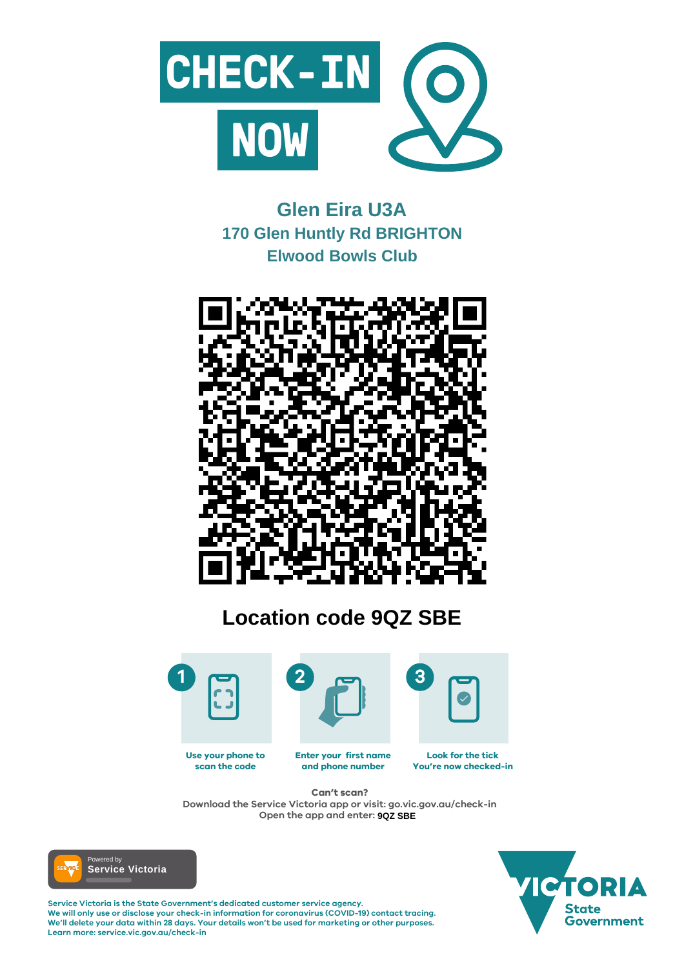

#### **Enter your first name and phone number Look for the tick You're now checked-in Use your phone to scan the code**

**Service Victoria is the State Government's dedicated customer service agency. We will only use or disclose your check-in information for coronavirus (COVID-19) contact tracing. We'll delete your data within 28 days. Your details won't be used for marketing or other purposes. Learn more: service.vic.gov.au/check-in**





# **Can't scan?**

**Download the Service Victoria app or visit: go.vic.gov.au/check-in Open the app and enter: 9QZ SBE**



# **Glen Eira U3A 170 Glen Huntly Rd BRIGHTON Elwood Bowls Club**



# **Location code 9QZ SBE**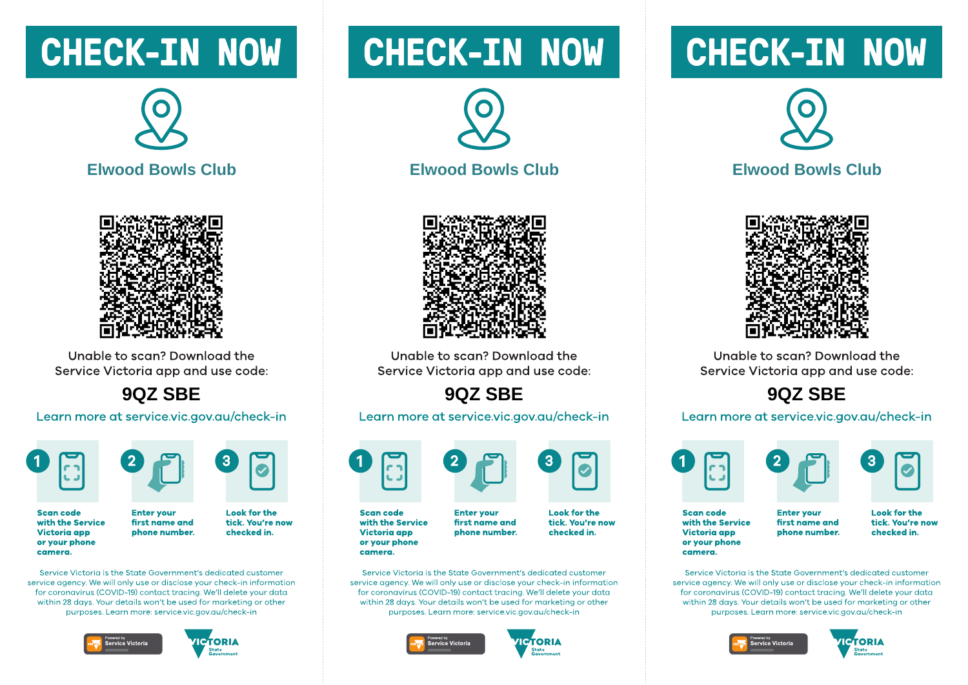# **CHECK-IN NOW**





Unable to scan? Download the Service Victoria app and use code:

### 9QZ SBE

#### Learn more at service.vic.gov.au/check-in





**Scan code** with the Service **Victoria** app or your phone camera.

**Look for the** tick. You're now first name and phone number. checked in.

Service Victoria is the State Government's dedicated customer service gaency. We will only use or disclose your check-in information for coronavirus (COVID-19) contact tracing. We'll delete your data within 28 days. Your details won't be used for marketing or other purposes. Learn more: service.vic.gov.gu/check-in

**Enter vour** 





# **CHECK-IN NOW**





Unable to scan? Download the Service Victoria app and use code:

## 9QZ SBE

#### Learn more at service.vic.gov.au/check-in



with the Service **Victoria** app or your phone camera.

**Enter vour** first name and phone number.

**Look for the** tick. You're now checked in.

Service Victoria is the State Government's dedicated customer service gaency. We will only use or disclose your check-in information for coronavirus (COVID-19) contact tracing. We'll delete your data within 28 days. Your details won't be used for marketing or other purposes. Learn more: service.vic.gov.gu/check-in





# **CHECK-IN NOW**



### **Elwood Bowls Club**



Unable to scan? Download the Service Victoria app and use code:

## 9QZ SBE

#### Learn more at service.vic.gov.au/check-in







**Scan code** with the Service **Victoria app** or your phone camera.

**Enter vour** first name and phone number. **Look for the** tick. You're now checked in.

Service Victoria is the State Government's dedicated customer service gaency. We will only use or disclose your check-in information for coronavirus (COVID-19) contact tracing. We'll delete your data within 28 days. Your details won't be used for marketing or other purposes. Learn more: service.vic.gov.gu/check-in





**Scan code**